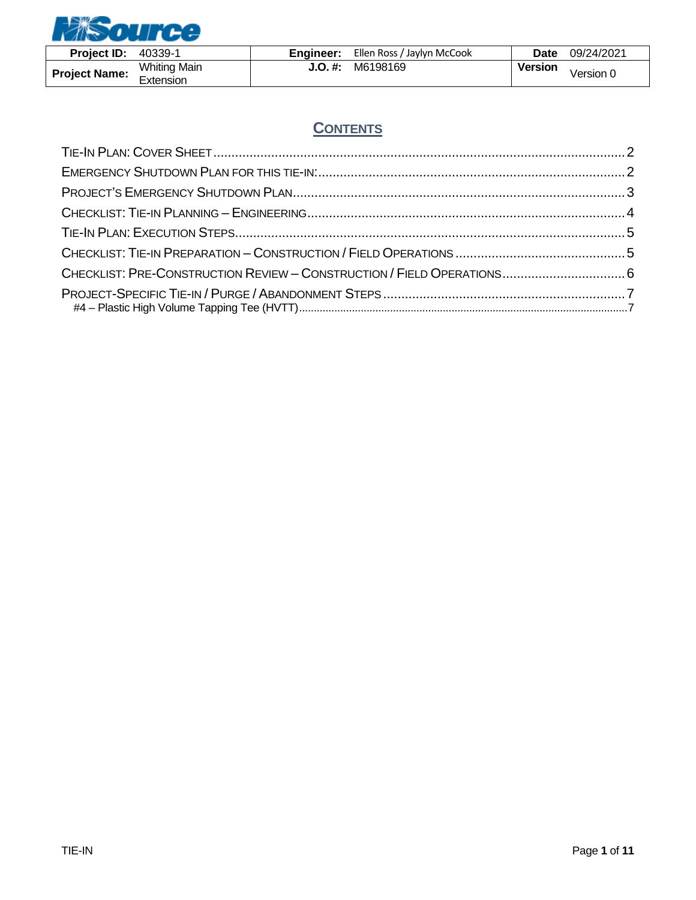

| <b>Project ID:</b>   | 40339-1                          | Engineer: | Ellen Ross / Jaylyn McCook | Date           | 09/24/2021 |
|----------------------|----------------------------------|-----------|----------------------------|----------------|------------|
| <b>Project Name:</b> | <b>Whiting Main</b><br>Extension | J.O. #:   | M6198169                   | <b>Version</b> | √ersion 0  |

# **CONTENTS**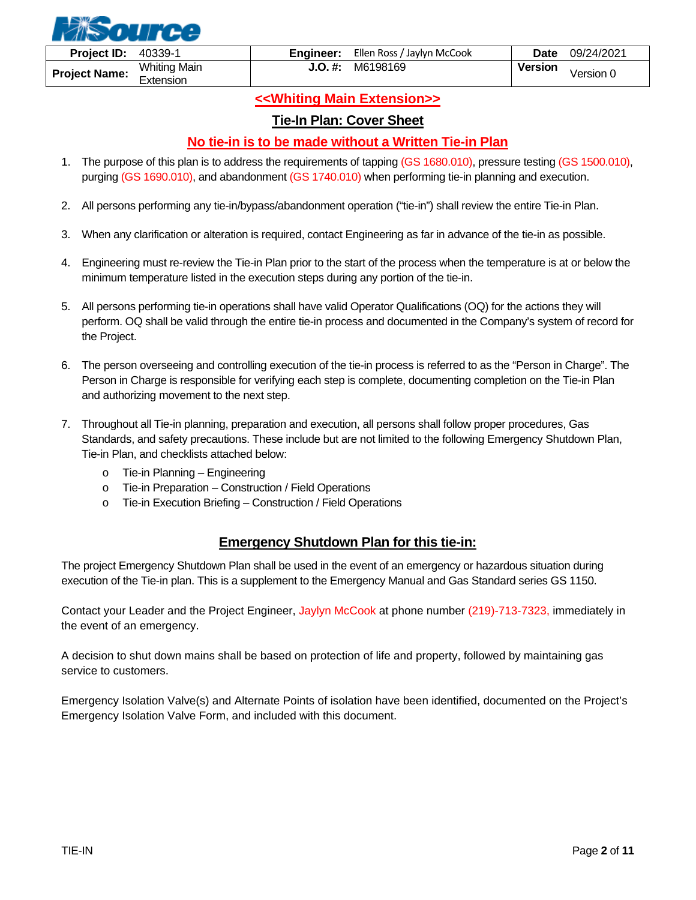

### **<<Whiting Main Extension>>**

#### **Tie-In Plan: Cover Sheet**

#### **No tie-in is to be made without a Written Tie-in Plan**

- <span id="page-1-0"></span>1. The purpose of this plan is to address the requirements of tapping (GS 1680.010), pressure testing (GS 1500.010), purging (GS 1690.010), and abandonment (GS 1740.010) when performing tie-in planning and execution.
- 2. All persons performing any tie-in/bypass/abandonment operation ("tie-in") shall review the entire Tie-in Plan.
- 3. When any clarification or alteration is required, contact Engineering as far in advance of the tie-in as possible.
- 4. Engineering must re-review the Tie-in Plan prior to the start of the process when the temperature is at or below the minimum temperature listed in the execution steps during any portion of the tie-in.
- 5. All persons performing tie-in operations shall have valid Operator Qualifications (OQ) for the actions they will perform. OQ shall be valid through the entire tie-in process and documented in the Company's system of record for the Project.
- 6. The person overseeing and controlling execution of the tie-in process is referred to as the "Person in Charge". The Person in Charge is responsible for verifying each step is complete, documenting completion on the Tie-in Plan and authorizing movement to the next step.
- 7. Throughout all Tie-in planning, preparation and execution, all persons shall follow proper procedures, Gas Standards, and safety precautions. These include but are not limited to the following Emergency Shutdown Plan, Tie-in Plan, and checklists attached below:
	- o Tie-in Planning Engineering
	- o Tie-in Preparation Construction / Field Operations
	- o Tie-in Execution Briefing Construction / Field Operations

#### **Emergency Shutdown Plan for this tie-in:**

<span id="page-1-1"></span>The project Emergency Shutdown Plan shall be used in the event of an emergency or hazardous situation during execution of the Tie-in plan. This is a supplement to the Emergency Manual and Gas Standard series GS 1150.

Contact your Leader and the Project Engineer, Jaylyn McCook at phone number (219)-713-7323, immediately in the event of an emergency.

A decision to shut down mains shall be based on protection of life and property, followed by maintaining gas service to customers.

Emergency Isolation Valve(s) and Alternate Points of isolation have been identified, documented on the Project's Emergency Isolation Valve Form, and included with this document.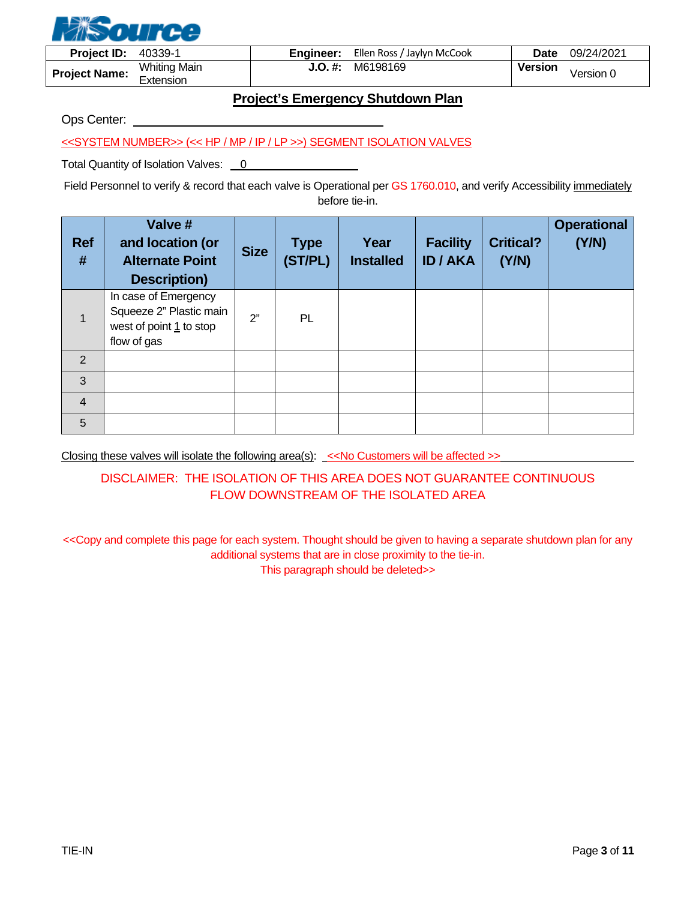

| <b>Project ID:</b>   | 40339-1                          | <b>Engineer:</b> | Ellen Ross / Jaylyn McCook | Date           | 09/24/2021 |
|----------------------|----------------------------------|------------------|----------------------------|----------------|------------|
| <b>Project Name:</b> | <b>Whiting Main</b><br>Extension | J.O. #:          | M6198169                   | <b>Version</b> | √ersion 0  |

## **Project's Emergency Shutdown Plan**

<span id="page-2-0"></span>Ops Center:

<<SYSTEM NUMBER>> (<< HP / MP / IP / LP >>) SEGMENT ISOLATION VALVES

Total Quantity of Isolation Valves: 0

Field Personnel to verify & record that each valve is Operational per GS 1760.010, and verify Accessibility immediately before tie-in.

| <b>Ref</b><br># | Valve #<br>and location (or<br><b>Alternate Point</b><br><b>Description)</b>              | <b>Size</b> | <b>Type</b><br>(ST/PL) | Year<br><b>Installed</b> | <b>Facility</b><br><b>ID/AKA</b> | <b>Critical?</b><br>(Y/N) | <b>Operational</b><br>(Y/N) |
|-----------------|-------------------------------------------------------------------------------------------|-------------|------------------------|--------------------------|----------------------------------|---------------------------|-----------------------------|
| $\mathbf{1}$    | In case of Emergency<br>Squeeze 2" Plastic main<br>west of point 1 to stop<br>flow of gas | 2"          | PL                     |                          |                                  |                           |                             |
| 2               |                                                                                           |             |                        |                          |                                  |                           |                             |
| 3               |                                                                                           |             |                        |                          |                                  |                           |                             |
| $\overline{4}$  |                                                                                           |             |                        |                          |                                  |                           |                             |
| 5               |                                                                                           |             |                        |                          |                                  |                           |                             |

Closing these valves will isolate the following area(s): << No Customers will be affected >>

### DISCLAIMER: THE ISOLATION OF THIS AREA DOES NOT GUARANTEE CONTINUOUS FLOW DOWNSTREAM OF THE ISOLATED AREA

<<Copy and complete this page for each system. Thought should be given to having a separate shutdown plan for any additional systems that are in close proximity to the tie-in. This paragraph should be deleted>>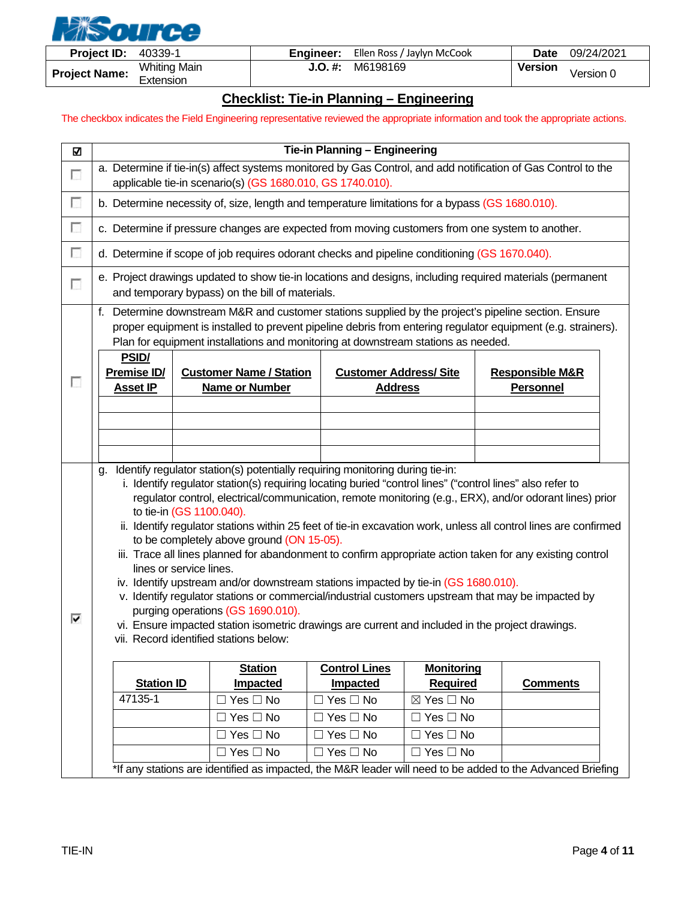

| <b>Project ID:</b>   | 40339-1                          | Engineer: | Ellen Ross / Jaylyn McCook | Date           | 09/24/2021 |
|----------------------|----------------------------------|-----------|----------------------------|----------------|------------|
| <b>Project Name:</b> | <b>Whiting Main</b><br>Extension | J.O. #:   | M6198169                   | <b>Version</b> | Version 0  |

#### **Checklist: Tie-in Planning – Engineering**

<span id="page-3-0"></span>The checkbox indicates the Field Engineering representative reviewed the appropriate information and took the appropriate actions.

| Ŋ | Tie-in Planning - Engineering                                                                                                                                                                                                                                                                                                                                                                                                                                                                                                                                                                                                                                                                                                                                                                                                                                                                                                                                                                                                |                                                                                                 |                                                |                           |                                                |  |  |  |
|---|------------------------------------------------------------------------------------------------------------------------------------------------------------------------------------------------------------------------------------------------------------------------------------------------------------------------------------------------------------------------------------------------------------------------------------------------------------------------------------------------------------------------------------------------------------------------------------------------------------------------------------------------------------------------------------------------------------------------------------------------------------------------------------------------------------------------------------------------------------------------------------------------------------------------------------------------------------------------------------------------------------------------------|-------------------------------------------------------------------------------------------------|------------------------------------------------|---------------------------|------------------------------------------------|--|--|--|
| г | a. Determine if tie-in(s) affect systems monitored by Gas Control, and add notification of Gas Control to the<br>applicable tie-in scenario(s) (GS 1680.010, GS 1740.010).                                                                                                                                                                                                                                                                                                                                                                                                                                                                                                                                                                                                                                                                                                                                                                                                                                                   |                                                                                                 |                                                |                           |                                                |  |  |  |
| п |                                                                                                                                                                                                                                                                                                                                                                                                                                                                                                                                                                                                                                                                                                                                                                                                                                                                                                                                                                                                                              | b. Determine necessity of, size, length and temperature limitations for a bypass (GS 1680.010). |                                                |                           |                                                |  |  |  |
| П |                                                                                                                                                                                                                                                                                                                                                                                                                                                                                                                                                                                                                                                                                                                                                                                                                                                                                                                                                                                                                              | c. Determine if pressure changes are expected from moving customers from one system to another. |                                                |                           |                                                |  |  |  |
| г |                                                                                                                                                                                                                                                                                                                                                                                                                                                                                                                                                                                                                                                                                                                                                                                                                                                                                                                                                                                                                              | d. Determine if scope of job requires odorant checks and pipeline conditioning (GS 1670.040).   |                                                |                           |                                                |  |  |  |
| г | e. Project drawings updated to show tie-in locations and designs, including required materials (permanent<br>and temporary bypass) on the bill of materials.                                                                                                                                                                                                                                                                                                                                                                                                                                                                                                                                                                                                                                                                                                                                                                                                                                                                 |                                                                                                 |                                                |                           |                                                |  |  |  |
|   | f. Determine downstream M&R and customer stations supplied by the project's pipeline section. Ensure<br>proper equipment is installed to prevent pipeline debris from entering regulator equipment (e.g. strainers).<br>Plan for equipment installations and monitoring at downstream stations as needed.                                                                                                                                                                                                                                                                                                                                                                                                                                                                                                                                                                                                                                                                                                                    |                                                                                                 |                                                |                           |                                                |  |  |  |
| п | <b>PSID/</b><br>Premise ID/<br><b>Customer Name / Station</b><br><b>Asset IP</b><br><b>Name or Number</b>                                                                                                                                                                                                                                                                                                                                                                                                                                                                                                                                                                                                                                                                                                                                                                                                                                                                                                                    |                                                                                                 | <b>Customer Address/Site</b><br><b>Address</b> |                           | <b>Responsible M&amp;R</b><br><b>Personnel</b> |  |  |  |
|   |                                                                                                                                                                                                                                                                                                                                                                                                                                                                                                                                                                                                                                                                                                                                                                                                                                                                                                                                                                                                                              |                                                                                                 |                                                |                           |                                                |  |  |  |
| ⊽ | g. Identify regulator station(s) potentially requiring monitoring during tie-in:<br>i. Identify regulator station(s) requiring locating buried "control lines" ("control lines" also refer to<br>regulator control, electrical/communication, remote monitoring (e.g., ERX), and/or odorant lines) prior<br>to tie-in (GS 1100.040).<br>ii. Identify regulator stations within 25 feet of tie-in excavation work, unless all control lines are confirmed<br>to be completely above ground (ON 15-05).<br>iii. Trace all lines planned for abandonment to confirm appropriate action taken for any existing control<br>lines or service lines.<br>iv. Identify upstream and/or downstream stations impacted by tie-in (GS 1680.010).<br>v. Identify regulator stations or commercial/industrial customers upstream that may be impacted by<br>purging operations (GS 1690.010).<br>vi. Ensure impacted station isometric drawings are current and included in the project drawings.<br>vii. Record identified stations below: |                                                                                                 |                                                |                           |                                                |  |  |  |
|   |                                                                                                                                                                                                                                                                                                                                                                                                                                                                                                                                                                                                                                                                                                                                                                                                                                                                                                                                                                                                                              | <b>Station</b>                                                                                  | <b>Control Lines</b>                           | <b>Monitoring</b>         |                                                |  |  |  |
|   | <b>Station ID</b>                                                                                                                                                                                                                                                                                                                                                                                                                                                                                                                                                                                                                                                                                                                                                                                                                                                                                                                                                                                                            | <b>Impacted</b>                                                                                 | <b>Impacted</b>                                | <b>Required</b>           | <b>Comments</b>                                |  |  |  |
|   | 47135-1                                                                                                                                                                                                                                                                                                                                                                                                                                                                                                                                                                                                                                                                                                                                                                                                                                                                                                                                                                                                                      | $\Box$ Yes $\Box$ No                                                                            | $\Box$ Yes $\Box$ No                           | $\boxtimes$ Yes $\Box$ No |                                                |  |  |  |
|   |                                                                                                                                                                                                                                                                                                                                                                                                                                                                                                                                                                                                                                                                                                                                                                                                                                                                                                                                                                                                                              | $\Box$ Yes $\Box$ No                                                                            | $\Box$ Yes $\Box$ No                           | $\Box$ Yes $\Box$ No      |                                                |  |  |  |
|   |                                                                                                                                                                                                                                                                                                                                                                                                                                                                                                                                                                                                                                                                                                                                                                                                                                                                                                                                                                                                                              | $\Box$ Yes $\Box$ No                                                                            | $\Box$ Yes $\Box$ No                           | $\Box$ Yes $\Box$ No      |                                                |  |  |  |
|   |                                                                                                                                                                                                                                                                                                                                                                                                                                                                                                                                                                                                                                                                                                                                                                                                                                                                                                                                                                                                                              | $\Box$ Yes $\Box$ No                                                                            | $\Box$ Yes $\Box$ No                           | $\Box$ Yes $\Box$ No      |                                                |  |  |  |
|   | *If any stations are identified as impacted, the M&R leader will need to be added to the Advanced Briefing                                                                                                                                                                                                                                                                                                                                                                                                                                                                                                                                                                                                                                                                                                                                                                                                                                                                                                                   |                                                                                                 |                                                |                           |                                                |  |  |  |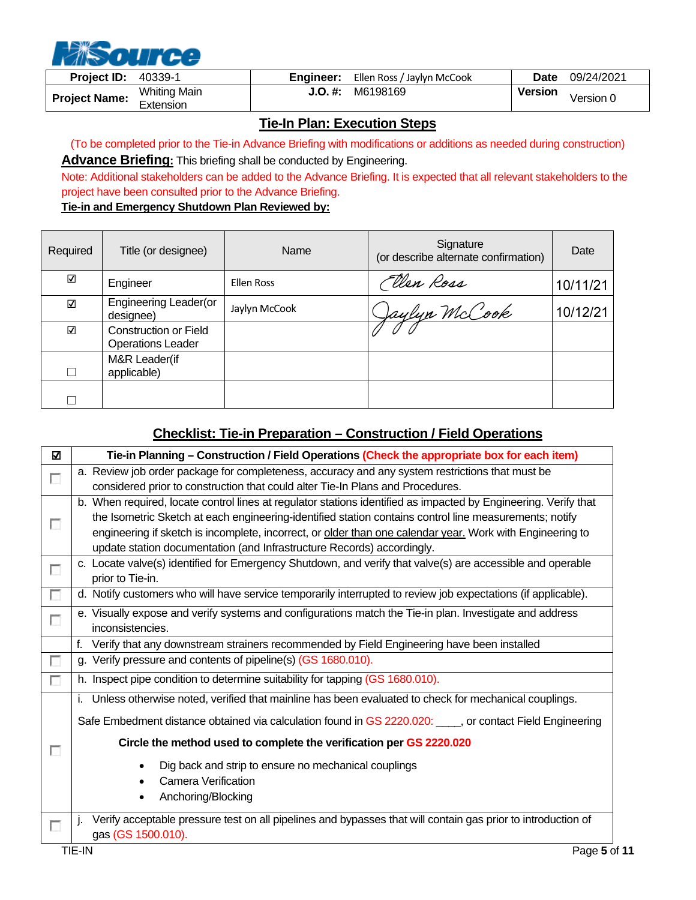

| <b>Project ID:</b>   | 40339-1                          |         | <b>Engineer:</b> Ellen Ross / Jaylyn McCook | <b>Date</b>    | 09/24/2021 |
|----------------------|----------------------------------|---------|---------------------------------------------|----------------|------------|
| <b>Project Name:</b> | <b>Whiting Main</b><br>Extension | J.O. #: | M6198169                                    | <b>Version</b> | Version 0  |

## **Tie-In Plan: Execution Steps**

<span id="page-4-0"></span>(To be completed prior to the Tie-in Advance Briefing with modifications or additions as needed during construction) **Advance Briefing:** This briefing shall be conducted by Engineering.

Note: Additional stakeholders can be added to the Advance Briefing. It is expected that all relevant stakeholders to the project have been consulted prior to the Advance Briefing.

#### **Tie-in and Emergency Shutdown Plan Reviewed by:**

| Required | Title (or designee)                                      | Name              | Signature<br>(or describe alternate confirmation) | Date     |
|----------|----------------------------------------------------------|-------------------|---------------------------------------------------|----------|
| ☑        | Engineer                                                 | <b>Ellen Ross</b> | Ellen Ross                                        | 10/11/21 |
| ☑        | Engineering Leader(or<br>designee)                       | Jaylyn McCook     | Jaylyn McCook                                     | 10/12/21 |
| ☑        | <b>Construction or Field</b><br><b>Operations Leader</b> |                   |                                                   |          |
|          | M&R Leader(if<br>applicable)                             |                   |                                                   |          |
|          |                                                          |                   |                                                   |          |

## **Checklist: Tie-in Preparation – Construction / Field Operations**

<span id="page-4-1"></span>

| ☑ | Tie-in Planning - Construction / Field Operations (Check the appropriate box for each item)                     |  |  |  |  |  |  |
|---|-----------------------------------------------------------------------------------------------------------------|--|--|--|--|--|--|
| Г | a. Review job order package for completeness, accuracy and any system restrictions that must be                 |  |  |  |  |  |  |
|   | considered prior to construction that could alter Tie-In Plans and Procedures.                                  |  |  |  |  |  |  |
|   | b. When required, locate control lines at regulator stations identified as impacted by Engineering. Verify that |  |  |  |  |  |  |
| г | the Isometric Sketch at each engineering-identified station contains control line measurements; notify          |  |  |  |  |  |  |
|   | engineering if sketch is incomplete, incorrect, or older than one calendar year. Work with Engineering to       |  |  |  |  |  |  |
|   | update station documentation (and Infrastructure Records) accordingly.                                          |  |  |  |  |  |  |
| П | c. Locate valve(s) identified for Emergency Shutdown, and verify that valve(s) are accessible and operable      |  |  |  |  |  |  |
|   | prior to Tie-in.                                                                                                |  |  |  |  |  |  |
| П | d. Notify customers who will have service temporarily interrupted to review job expectations (if applicable).   |  |  |  |  |  |  |
| П | e. Visually expose and verify systems and configurations match the Tie-in plan. Investigate and address         |  |  |  |  |  |  |
|   | inconsistencies.                                                                                                |  |  |  |  |  |  |
|   | Verify that any downstream strainers recommended by Field Engineering have been installed<br>f.                 |  |  |  |  |  |  |
| П | g. Verify pressure and contents of pipeline(s) (GS 1680.010).                                                   |  |  |  |  |  |  |
| г | h. Inspect pipe condition to determine suitability for tapping (GS 1680.010).                                   |  |  |  |  |  |  |
|   | i. Unless otherwise noted, verified that mainline has been evaluated to check for mechanical couplings.         |  |  |  |  |  |  |
|   | Safe Embedment distance obtained via calculation found in GS 2220.020: ____, or contact Field Engineering       |  |  |  |  |  |  |
| п | Circle the method used to complete the verification per GS 2220.020                                             |  |  |  |  |  |  |
|   | Dig back and strip to ensure no mechanical couplings                                                            |  |  |  |  |  |  |
|   | <b>Camera Verification</b>                                                                                      |  |  |  |  |  |  |
|   | Anchoring/Blocking<br>٠                                                                                         |  |  |  |  |  |  |
|   |                                                                                                                 |  |  |  |  |  |  |
| г | Verify acceptable pressure test on all pipelines and bypasses that will contain gas prior to introduction of    |  |  |  |  |  |  |
|   | gas (GS 1500.010).                                                                                              |  |  |  |  |  |  |
|   | TIE-IN<br>Page 5 of 11                                                                                          |  |  |  |  |  |  |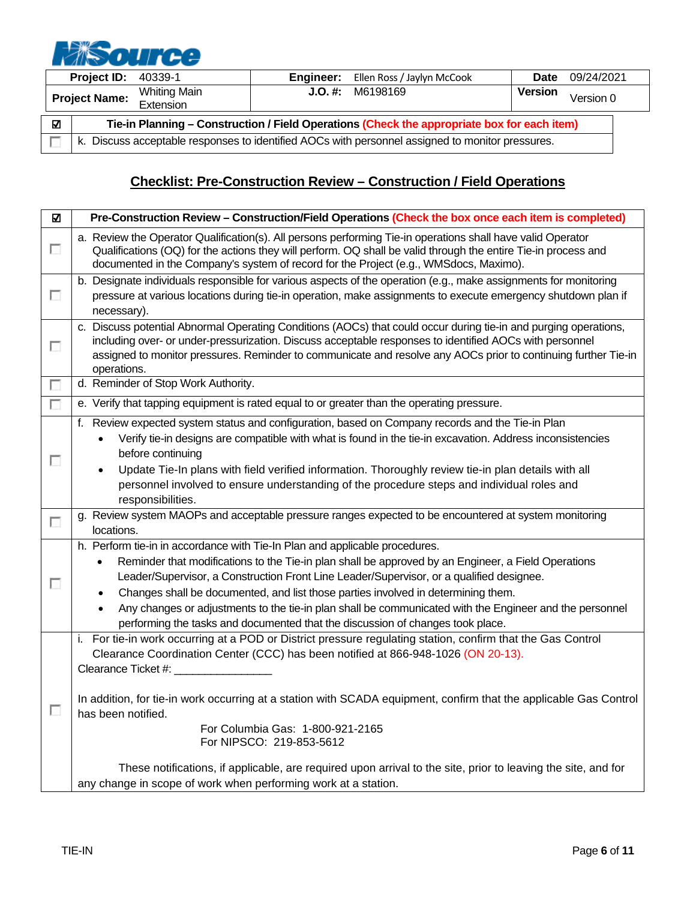# **NiSource**

|   | <b>Project ID: 40339-1</b>                                                                       |                                  | Engineer: | Ellen Ross / Jaylyn McCook | <b>Date</b> | 09/24/2021 |  |
|---|--------------------------------------------------------------------------------------------------|----------------------------------|-----------|----------------------------|-------------|------------|--|
|   | <b>Project Name:</b>                                                                             | <b>Whiting Main</b><br>Extension | J.O. #:   | M6198169                   | Version     | Version 0  |  |
| ☑ | Tie-in Planning - Construction / Field Operations (Check the appropriate box for each item)      |                                  |           |                            |             |            |  |
|   | k. Discuss acceptable responses to identified AOCs with personnel assigned to monitor pressures. |                                  |           |                            |             |            |  |

# **Checklist: Pre-Construction Review – Construction / Field Operations**

<span id="page-5-0"></span>

| ☑                           | Pre-Construction Review - Construction/Field Operations (Check the box once each item is completed)                                                                                                                                                                                                                                                                                                                                                                                                                                                                                                     |
|-----------------------------|---------------------------------------------------------------------------------------------------------------------------------------------------------------------------------------------------------------------------------------------------------------------------------------------------------------------------------------------------------------------------------------------------------------------------------------------------------------------------------------------------------------------------------------------------------------------------------------------------------|
| $\mathcal{L}_{\mathcal{L}}$ | a. Review the Operator Qualification(s). All persons performing Tie-in operations shall have valid Operator<br>Qualifications (OQ) for the actions they will perform. OQ shall be valid through the entire Tie-in process and<br>documented in the Company's system of record for the Project (e.g., WMSdocs, Maximo).                                                                                                                                                                                                                                                                                  |
| $\overline{\phantom{a}}$    | b. Designate individuals responsible for various aspects of the operation (e.g., make assignments for monitoring<br>pressure at various locations during tie-in operation, make assignments to execute emergency shutdown plan if<br>necessary).                                                                                                                                                                                                                                                                                                                                                        |
| $\overline{\phantom{a}}$    | c. Discuss potential Abnormal Operating Conditions (AOCs) that could occur during tie-in and purging operations,<br>including over- or under-pressurization. Discuss acceptable responses to identified AOCs with personnel<br>assigned to monitor pressures. Reminder to communicate and resolve any AOCs prior to continuing further Tie-in<br>operations.                                                                                                                                                                                                                                            |
| $\overline{\phantom{a}}$    | d. Reminder of Stop Work Authority.                                                                                                                                                                                                                                                                                                                                                                                                                                                                                                                                                                     |
| $\overline{\phantom{a}}$    | e. Verify that tapping equipment is rated equal to or greater than the operating pressure.                                                                                                                                                                                                                                                                                                                                                                                                                                                                                                              |
| $\mathcal{L}_{\mathcal{L}}$ | f. Review expected system status and configuration, based on Company records and the Tie-in Plan<br>Verify tie-in designs are compatible with what is found in the tie-in excavation. Address inconsistencies<br>before continuing<br>Update Tie-In plans with field verified information. Thoroughly review tie-in plan details with all<br>personnel involved to ensure understanding of the procedure steps and individual roles and<br>responsibilities.                                                                                                                                            |
| $\overline{\phantom{a}}$    | g. Review system MAOPs and acceptable pressure ranges expected to be encountered at system monitoring<br>locations.                                                                                                                                                                                                                                                                                                                                                                                                                                                                                     |
| г                           | h. Perform tie-in in accordance with Tie-In Plan and applicable procedures.<br>Reminder that modifications to the Tie-in plan shall be approved by an Engineer, a Field Operations<br>$\bullet$<br>Leader/Supervisor, a Construction Front Line Leader/Supervisor, or a qualified designee.<br>Changes shall be documented, and list those parties involved in determining them.<br>$\bullet$<br>Any changes or adjustments to the tie-in plan shall be communicated with the Engineer and the personnel<br>$\bullet$<br>performing the tasks and documented that the discussion of changes took place. |
| $\overline{\phantom{a}}$    | For tie-in work occurring at a POD or District pressure regulating station, confirm that the Gas Control<br>L.<br>Clearance Coordination Center (CCC) has been notified at 866-948-1026 (ON 20-13).<br>Clearance Ticket #: _<br>In addition, for tie-in work occurring at a station with SCADA equipment, confirm that the applicable Gas Control<br>has been notified.<br>For Columbia Gas: 1-800-921-2165<br>For NIPSCO: 219-853-5612<br>These notifications, if applicable, are required upon arrival to the site, prior to leaving the site, and for                                                |
|                             | any change in scope of work when performing work at a station.                                                                                                                                                                                                                                                                                                                                                                                                                                                                                                                                          |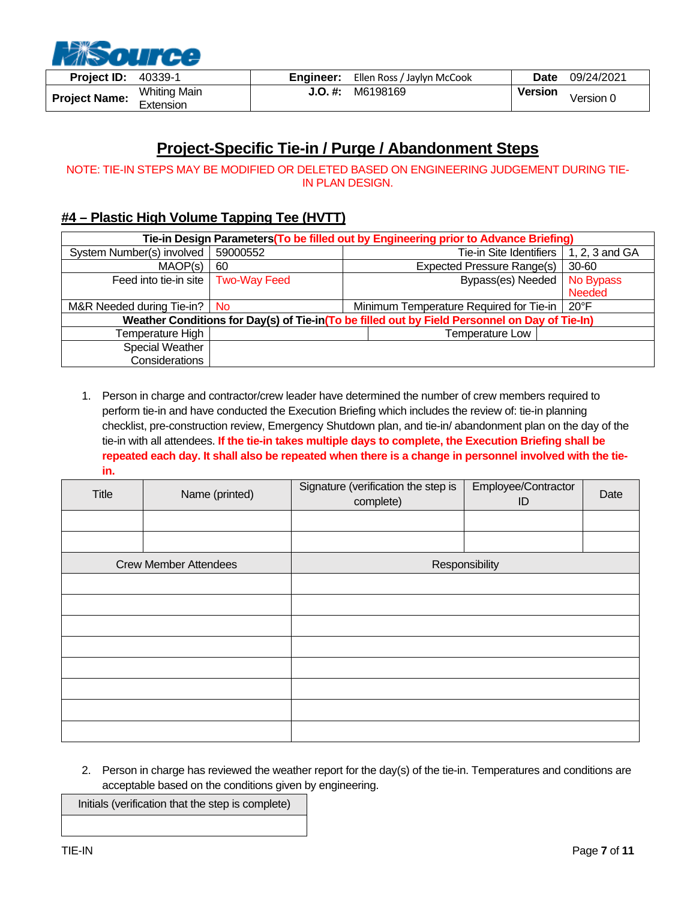

| <b>Project ID:</b>   | 40339-1                          | Engineer: | Ellen Ross / Jaylyn McCook | Date           | 09/24/2021 |
|----------------------|----------------------------------|-----------|----------------------------|----------------|------------|
| <b>Project Name:</b> | <b>Whiting Main</b><br>Extension | J.O. #:   | M6198169                   | <b>Version</b> | Version 0  |

# **Project-Specific Tie-in / Purge / Abandonment Steps**

<span id="page-6-0"></span>NOTE: TIE-IN STEPS MAY BE MODIFIED OR DELETED BASED ON ENGINEERING JUDGEMENT DURING TIE-IN PLAN DESIGN.

## <span id="page-6-1"></span>**#4 – Plastic High Volume Tapping Tee (HVTT)**

| Tie-in Design Parameters (To be filled out by Engineering prior to Advance Briefing) |                     |  |                                                                                               |  |                |
|--------------------------------------------------------------------------------------|---------------------|--|-----------------------------------------------------------------------------------------------|--|----------------|
| System Number(s) involved                                                            | 59000552            |  | Tie-in Site Identifiers                                                                       |  | 1, 2, 3 and GA |
| MAOP(s)                                                                              | 60                  |  | <b>Expected Pressure Range(s)</b>                                                             |  | 30-60          |
| Feed into tie-in site                                                                | <b>Two-Way Feed</b> |  | Bypass(es) Needed                                                                             |  | No Bypass      |
|                                                                                      |                     |  |                                                                                               |  | <b>Needed</b>  |
| M&R Needed during Tie-in?                                                            | - No                |  | Minimum Temperature Required for Tie-in                                                       |  | $20^{\circ}$ F |
|                                                                                      |                     |  | Weather Conditions for Day(s) of Tie-in(To be filled out by Field Personnel on Day of Tie-In) |  |                |
| Temperature High                                                                     |                     |  | Temperature Low                                                                               |  |                |
| Special Weather                                                                      |                     |  |                                                                                               |  |                |
| Considerations                                                                       |                     |  |                                                                                               |  |                |

1. Person in charge and contractor/crew leader have determined the number of crew members required to perform tie-in and have conducted the Execution Briefing which includes the review of: tie-in planning checklist, pre-construction review, Emergency Shutdown plan, and tie-in/ abandonment plan on the day of the tie-in with all attendees. **If the tie-in takes multiple days to complete, the Execution Briefing shall be repeated each day. It shall also be repeated when there is a change in personnel involved with the tiein.** 

| Title | Name (printed)               | Signature (verification the step is<br>complete) | Employee/Contractor<br>ID | Date |
|-------|------------------------------|--------------------------------------------------|---------------------------|------|
|       |                              |                                                  |                           |      |
|       |                              |                                                  |                           |      |
|       | <b>Crew Member Attendees</b> |                                                  | Responsibility            |      |
|       |                              |                                                  |                           |      |
|       |                              |                                                  |                           |      |
|       |                              |                                                  |                           |      |
|       |                              |                                                  |                           |      |
|       |                              |                                                  |                           |      |
|       |                              |                                                  |                           |      |
|       |                              |                                                  |                           |      |
|       |                              |                                                  |                           |      |

2. Person in charge has reviewed the weather report for the day(s) of the tie-in. Temperatures and conditions are acceptable based on the conditions given by engineering.

Initials (verification that the step is complete)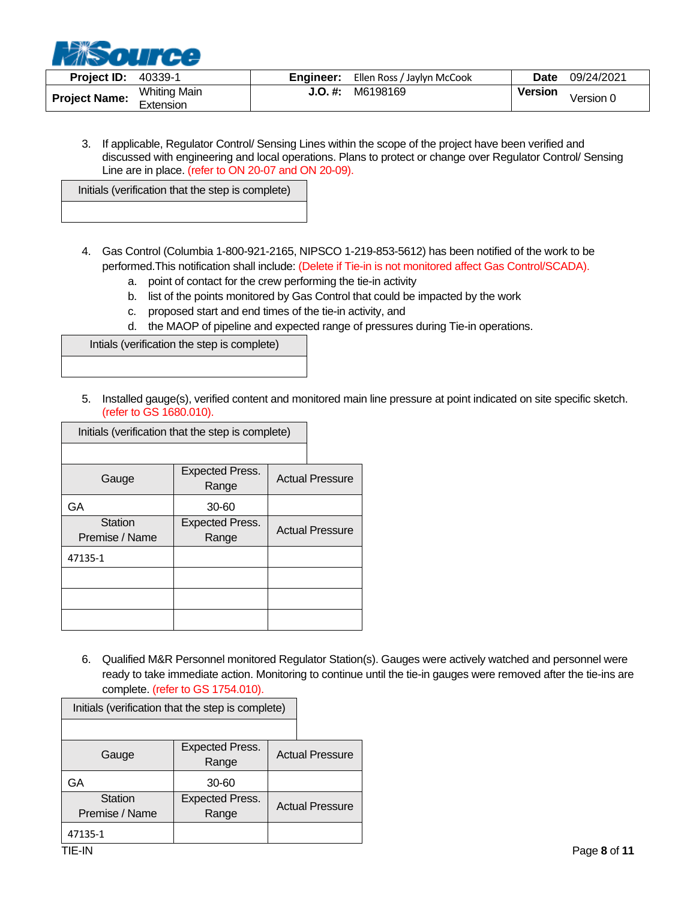

| <b>Project ID:</b>   | 40339-1                               | Engineer: | Ellen Ross / Jaylyn McCook | <b>Date</b>    | 09/24/2021 |
|----------------------|---------------------------------------|-----------|----------------------------|----------------|------------|
| <b>Project Name:</b> | <b>Whiting Main</b><br>.<br>Extension | J.O. #:   | M6198169                   | <b>Version</b> | Version 0  |

3. If applicable, Regulator Control/ Sensing Lines within the scope of the project have been verified and discussed with engineering and local operations. Plans to protect or change over Regulator Control/ Sensing Line are in place. (refer to ON 20-07 and ON 20-09).

Initials (verification that the step is complete)

- 4. Gas Control (Columbia 1-800-921-2165, NIPSCO 1-219-853-5612) has been notified of the work to be performed.This notification shall include: (Delete if Tie-in is not monitored affect Gas Control/SCADA).
	- a. point of contact for the crew performing the tie-in activity
	- b. list of the points monitored by Gas Control that could be impacted by the work
	- c. proposed start and end times of the tie-in activity, and
	- d. the MAOP of pipeline and expected range of pressures during Tie-in operations.

Intials (verification the step is complete)

5. Installed gauge(s), verified content and monitored main line pressure at point indicated on site specific sketch. (refer to GS 1680.010).

| Initials (verification that the step is complete) |                                 |  |                        |
|---------------------------------------------------|---------------------------------|--|------------------------|
|                                                   |                                 |  |                        |
| Gauge                                             | <b>Expected Press.</b><br>Range |  | <b>Actual Pressure</b> |
| GA                                                | 30-60                           |  |                        |
| Station<br>Premise / Name                         | <b>Expected Press.</b><br>Range |  | <b>Actual Pressure</b> |
| 47135-1                                           |                                 |  |                        |
|                                                   |                                 |  |                        |
|                                                   |                                 |  |                        |
|                                                   |                                 |  |                        |

6. Qualified M&R Personnel monitored Regulator Station(s). Gauges were actively watched and personnel were ready to take immediate action. Monitoring to continue until the tie-in gauges were removed after the tie-ins are complete. (refer to GS 1754.010).

| Initials (verification that the step is complete) |                                 |  |                        |
|---------------------------------------------------|---------------------------------|--|------------------------|
|                                                   |                                 |  |                        |
| Gauge                                             | <b>Expected Press.</b><br>Range |  | <b>Actual Pressure</b> |
| GA                                                | 30-60                           |  |                        |
| <b>Station</b><br>Premise / Name                  | <b>Expected Press.</b><br>Range |  | <b>Actual Pressure</b> |
| 47135-1                                           |                                 |  |                        |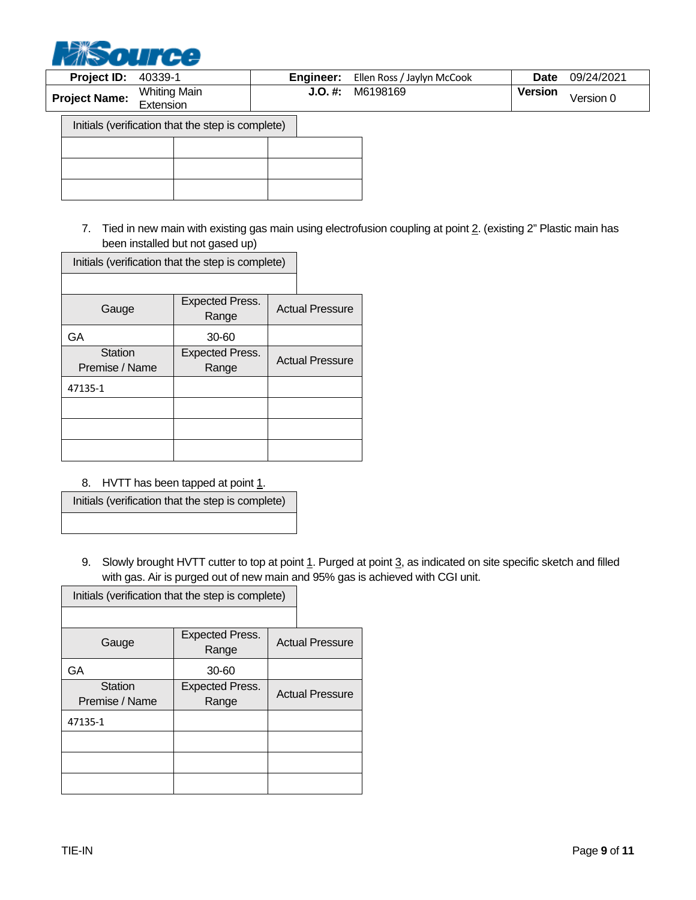

| Project ID:          | 40339-1                                           | Engineer: | Ellen Ross / Jaylyn McCook | <b>Date</b>    | 09/24/2021 |
|----------------------|---------------------------------------------------|-----------|----------------------------|----------------|------------|
| <b>Project Name:</b> | <b>Whiting Main</b><br>Extension                  | $J.O.$ #: | M6198169                   | <b>Version</b> | Version 0  |
|                      | Initials (verification that the step is complete) |           |                            |                |            |
|                      |                                                   |           |                            |                |            |
|                      |                                                   |           |                            |                |            |
|                      |                                                   |           |                            |                |            |

7. Tied in new main with existing gas main using electrofusion coupling at point 2. (existing 2" Plastic main has been installed but not gased up)

| Initials (verification that the step is complete) |                                 |  |                        |
|---------------------------------------------------|---------------------------------|--|------------------------|
|                                                   |                                 |  |                        |
| Gauge                                             | <b>Expected Press.</b><br>Range |  | <b>Actual Pressure</b> |
| GA                                                | 30-60                           |  |                        |
| <b>Station</b><br>Premise / Name                  | <b>Expected Press.</b><br>Range |  | <b>Actual Pressure</b> |
| 47135-1                                           |                                 |  |                        |
|                                                   |                                 |  |                        |
|                                                   |                                 |  |                        |
|                                                   |                                 |  |                        |

8. HVTT has been tapped at point  $1$ .

Initials (verification that the step is complete)

9. Slowly brought HVTT cutter to top at point 1. Purged at point 3, as indicated on site specific sketch and filled with gas. Air is purged out of new main and 95% gas is achieved with CGI unit.

| Initials (verification that the step is complete) |                                 |  |                        |
|---------------------------------------------------|---------------------------------|--|------------------------|
|                                                   |                                 |  |                        |
| Gauge                                             | <b>Expected Press.</b><br>Range |  | <b>Actual Pressure</b> |
| GA                                                | 30-60                           |  |                        |
| <b>Station</b><br>Premise / Name                  | <b>Expected Press.</b><br>Range |  | <b>Actual Pressure</b> |
| 47135-1                                           |                                 |  |                        |
|                                                   |                                 |  |                        |
|                                                   |                                 |  |                        |
|                                                   |                                 |  |                        |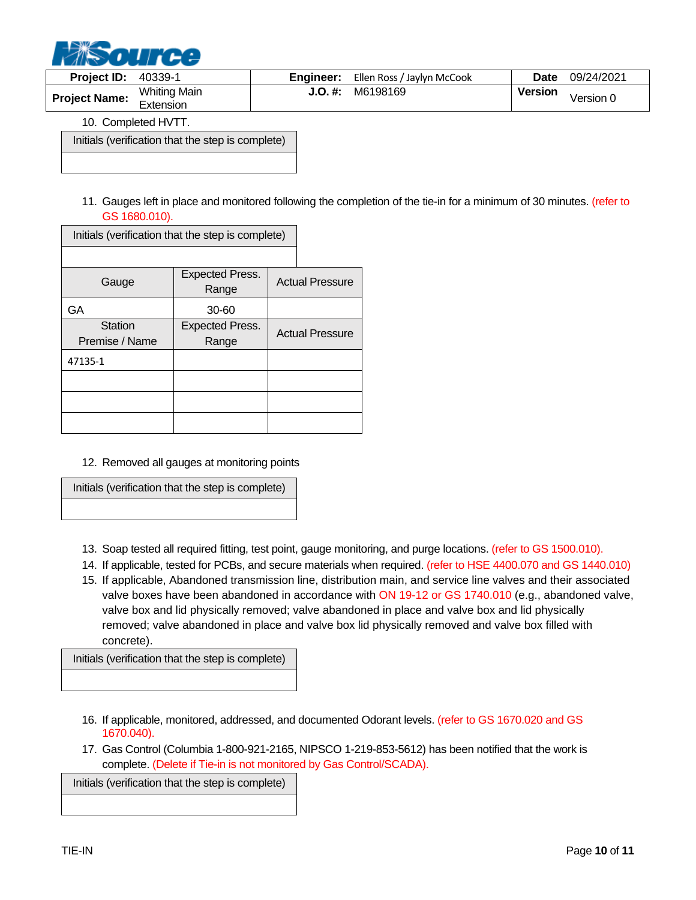

| <b>Project ID:</b>   | 40339-1                                               | Engineer: | Ellen Ross / Jaylyn McCook | <b>Date</b>    | 09/24/2021 |
|----------------------|-------------------------------------------------------|-----------|----------------------------|----------------|------------|
| <b>Project Name:</b> | Whiting Main<br>$\overline{\phantom{0}}$<br>Extension | J.O. #:   | M6198169                   | <b>Version</b> | Version 0  |

10. Completed HVTT.

Initials (verification that the step is complete)

11. Gauges left in place and monitored following the completion of the tie-in for a minimum of 30 minutes. (refer to GS 1680.010).

| Initials (verification that the step is complete) |                                 |  |                        |
|---------------------------------------------------|---------------------------------|--|------------------------|
|                                                   |                                 |  |                        |
| Gauge                                             | <b>Expected Press.</b><br>Range |  | <b>Actual Pressure</b> |
| GA                                                | 30-60                           |  |                        |
| <b>Station</b><br>Premise / Name                  | <b>Expected Press.</b><br>Range |  | <b>Actual Pressure</b> |
| 47135-1                                           |                                 |  |                        |
|                                                   |                                 |  |                        |
|                                                   |                                 |  |                        |
|                                                   |                                 |  |                        |

12. Removed all gauges at monitoring points

Initials (verification that the step is complete)

- 13. Soap tested all required fitting, test point, gauge monitoring, and purge locations. (refer to GS 1500.010).
- 14. If applicable, tested for PCBs, and secure materials when required. (refer to HSE 4400.070 and GS 1440.010)
- 15. If applicable, Abandoned transmission line, distribution main, and service line valves and their associated valve boxes have been abandoned in accordance with ON 19-12 or GS 1740.010 (e.g., abandoned valve, valve box and lid physically removed; valve abandoned in place and valve box and lid physically removed; valve abandoned in place and valve box lid physically removed and valve box filled with concrete).

Initials (verification that the step is complete)

- 16. If applicable, monitored, addressed, and documented Odorant levels. (refer to GS 1670.020 and GS 1670.040).
- 17. Gas Control (Columbia 1-800-921-2165, NIPSCO 1-219-853-5612) has been notified that the work is complete. (Delete if Tie-in is not monitored by Gas Control/SCADA).

Initials (verification that the step is complete)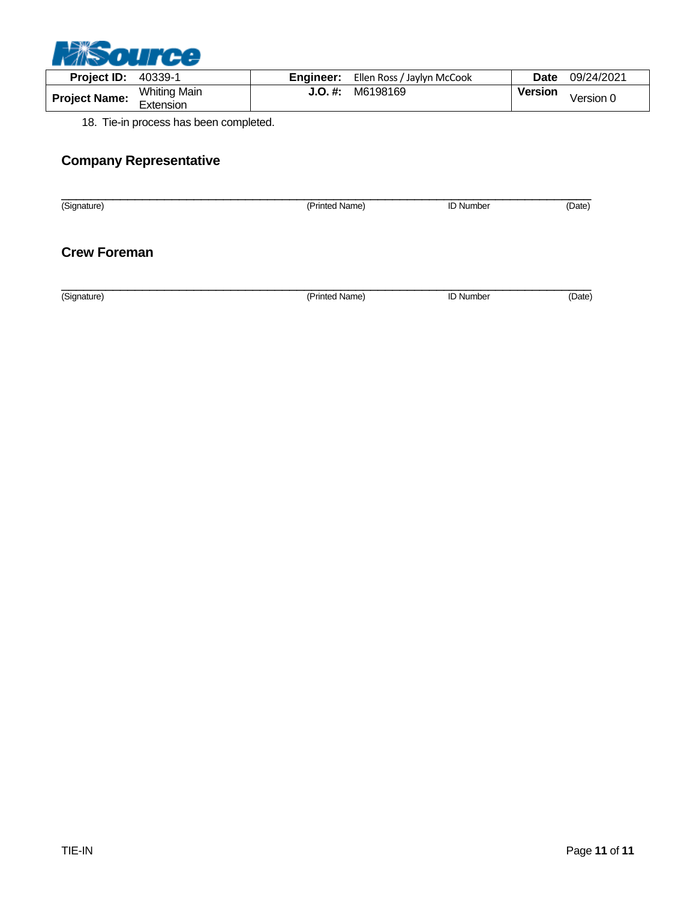

| <b>Project ID:</b>   | 40339-1                          |         | <b>Engineer:</b> Ellen Ross / Jaylyn McCook | <b>Date</b>    | 09/24/2021 |
|----------------------|----------------------------------|---------|---------------------------------------------|----------------|------------|
| <b>Project Name:</b> | <b>Whiting Main</b><br>Extension | J.O. #: | M6198169                                    | <b>Version</b> | Version 0  |

18. Tie-in process has been completed.

# **Company Representative**

| (Signature)         | (Printed Name) | <b>ID Number</b> | (Date) |
|---------------------|----------------|------------------|--------|
| <b>Crew Foreman</b> |                |                  |        |
| (Signature)         | (Printed Name) | <b>ID Number</b> | (Date) |